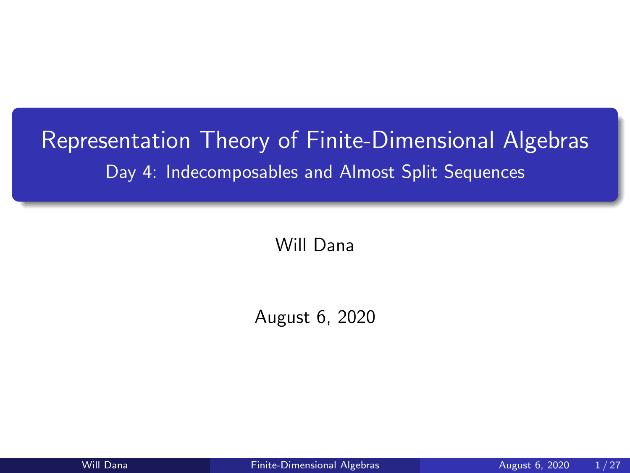# <span id="page-0-0"></span>Representation Theory of Finite-Dimensional Algebras Day 4: Indecomposables and Almost Split Sequences

Will Dana

August 6, 2020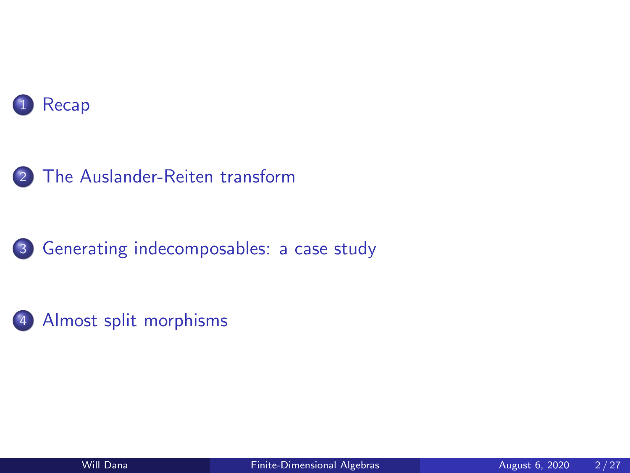





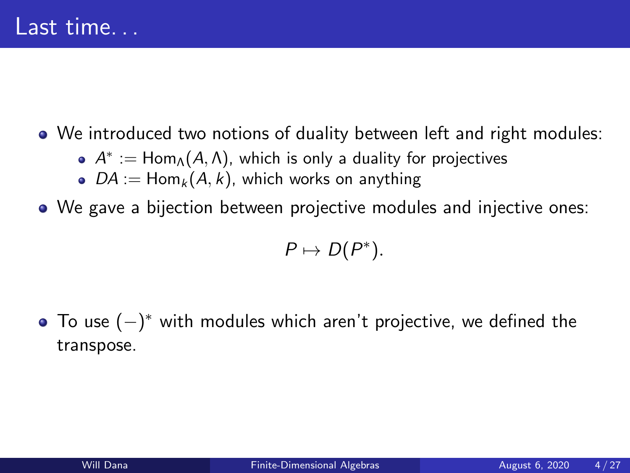## <span id="page-2-0"></span>We introduced two notions of duality between left and right modules:

- $A^*:=\mathsf{Hom}_\Lambda(A,\Lambda)$ , which is only a duality for projectives
- $DA := Hom_k(A, k)$ , which works on anything
- We gave a bijection between projective modules and injective ones:

$$
P\mapsto D(P^*).
$$

To use (−) <sup>∗</sup> with modules which aren't projective, we defined the transpose.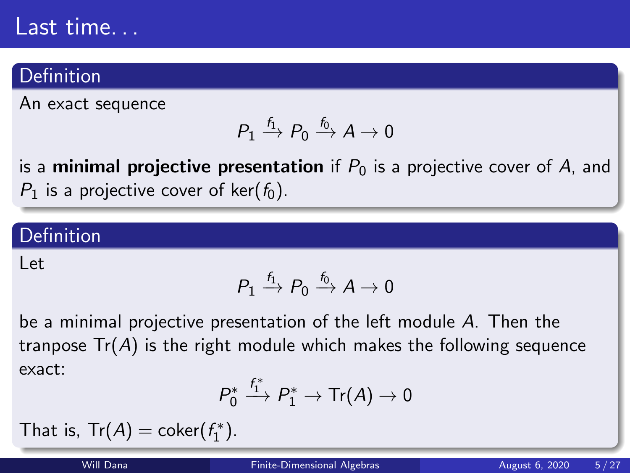# Last time...

### Definition

An exact sequence

$$
P_1 \xrightarrow{f_1} P_0 \xrightarrow{f_0} A \to 0
$$

is a **minimal projective presentation** if  $P_0$  is a projective cover of A, and  $P_1$  is a projective cover of ker( $f_0$ ).

### Definition

Let

$$
P_1 \xrightarrow{f_1} P_0 \xrightarrow{f_0} A \to 0
$$

be a minimal projective presentation of the left module A. Then the tranpose  $Tr(A)$  is the right module which makes the following sequence exact:

$$
P_0^* \xrightarrow{f_1^*} P_1^* \to \text{Tr}(A) \to 0
$$

That is,  $Tr(A) = coker(f_1^*)$ .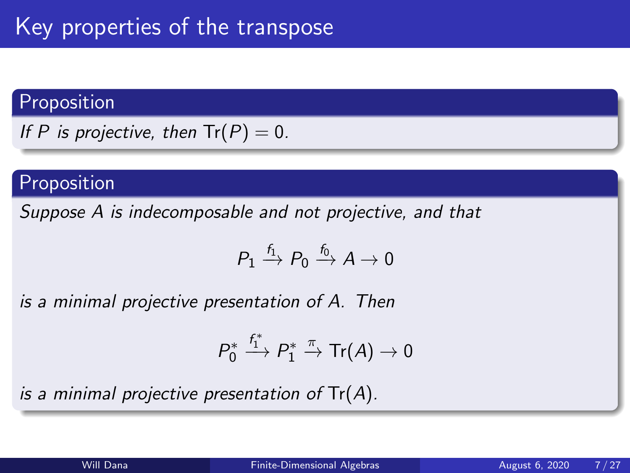## <span id="page-4-0"></span>Proposition

If P is projective, then  $Tr(P) = 0$ .

## Proposition

Suppose A is indecomposable and not projective, and that

$$
P_1 \xrightarrow{f_1} P_0 \xrightarrow{f_0} A \to 0
$$

is a minimal projective presentation of A. Then

$$
P_0^* \xrightarrow{f_1^*} P_1^* \xrightarrow{\pi} \text{Tr}(A) \to 0
$$

is a minimal projective presentation of  $Tr(A)$ .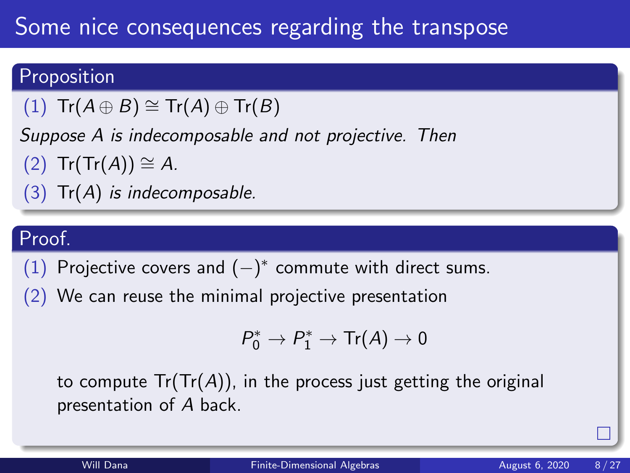# Some nice consequences regarding the transpose

## Proposition

(1)  $\text{Tr}(A \oplus B) \cong \text{Tr}(A) \oplus \text{Tr}(B)$ 

Suppose A is indecomposable and not projective. Then

 $(2)$  Tr(Tr(A)) ≅ A.

 $(3)$  Tr(A) is indecomposable.

## Proof.

(1) Projective covers and  $(-)^*$  commute with direct sums.

(2) We can reuse the minimal projective presentation

$$
P_0^* \to P_1^* \to \text{Tr}(A) \to 0
$$

to compute  $Tr(Tr(A))$ , in the process just getting the original presentation of A back.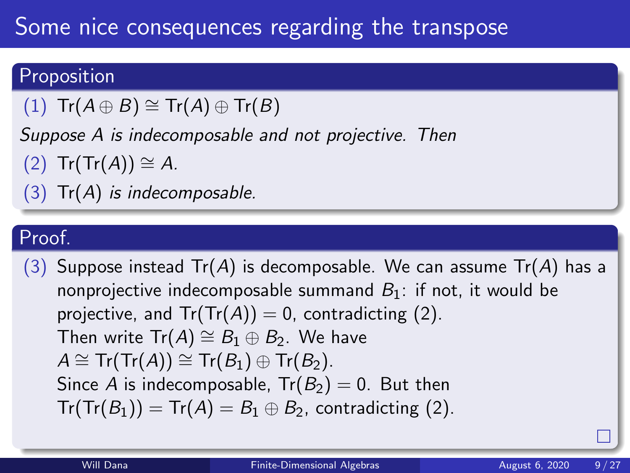# Some nice consequences regarding the transpose

## Proposition

 $(1)$  Tr $(A \oplus B) \cong Tr(A) \oplus Tr(B)$ 

Suppose A is indecomposable and not projective. Then

 $(2)$  Tr(Tr(A))  $\cong$  A.

 $(3)$  Tr $(A)$  is indecomposable.

## Proof.

(3) Suppose instead  $Tr(A)$  is decomposable. We can assume  $Tr(A)$  has a nonprojective indecomposable summand  $B_1$ : if not, it would be projective, and  $Tr(Tr(A)) = 0$ , contradicting (2). Then write  $Tr(A) \cong B_1 \oplus B_2$ . We have  $A \cong Tr(Tr(A)) \cong Tr(B_1) \oplus Tr(B_2)$ . Since A is indecomposable,  $Tr(B_2) = 0$ . But then  $Tr(Tr(B_1)) = Tr(A) = B_1 \oplus B_2$ , contradicting (2).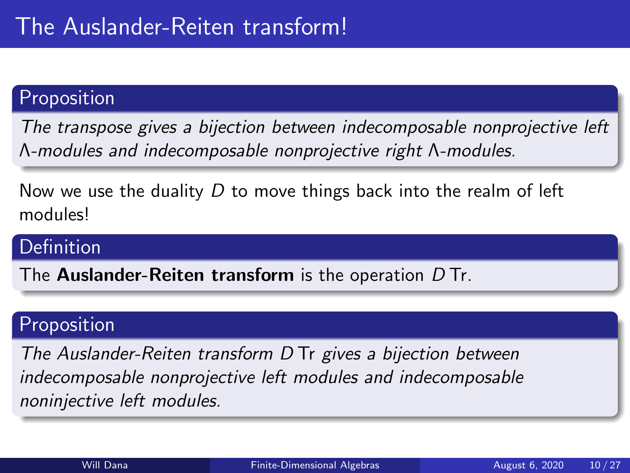### Proposition

The transpose gives a bijection between indecomposable nonprojective left Λ-modules and indecomposable nonprojective right Λ-modules.

Now we use the duality  $D$  to move things back into the realm of left modules!

### Definition

The **Auslander-Reiten transform** is the operation  $D$  Tr.

### Proposition

The Auslander-Reiten transform D Tr gives a bijection between indecomposable nonprojective left modules and indecomposable noninjective left modules.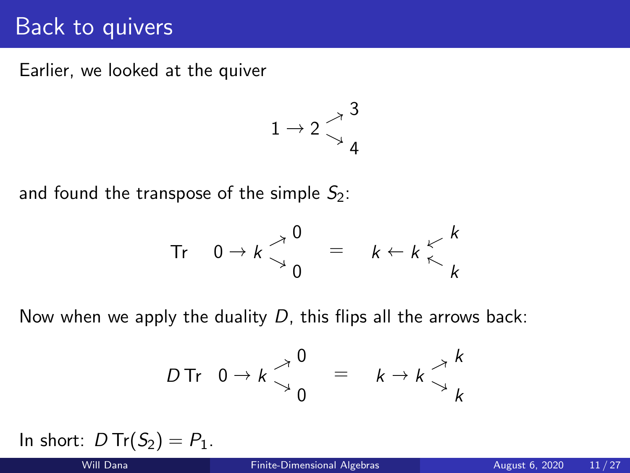# Back to quivers

Earlier, we looked at the quiver

$$
1\rightarrow 2\mathop{\searrow}\limits^{~\nearrow}{\mathop{4}\limits^{3}}
$$

and found the transpose of the simple  $S_2$ :

$$
\text{Tr} \quad 0 \to k \begin{matrix} 0 \\ 0 \end{matrix} = k \begin{matrix} k \\ k \end{matrix} \begin{matrix} k \\ k \end{matrix}
$$

Now when we apply the duality  $D$ , this flips all the arrows back:

$$
D \text{Tr} \quad 0 \to k \begin{matrix} 0 \\ 0 \end{matrix} = k \to k \begin{matrix} k \\ k \end{matrix}
$$

In short:  $D Tr(S_2) = P_1$ .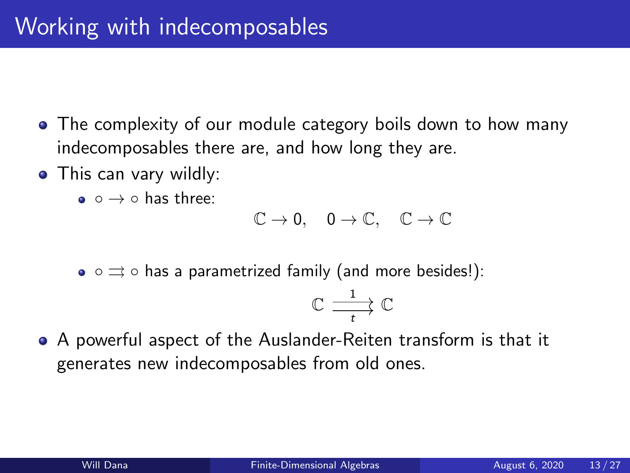- <span id="page-9-0"></span>• The complexity of our module category boils down to how many indecomposables there are, and how long they are.
- This can vary wildly:
	- $\bullet$   $\circ$   $\rightarrow$   $\circ$  has three:

$$
\mathbb{C}\to 0,\quad 0\to \mathbb{C},\quad \mathbb{C}\to \mathbb{C}
$$

•  $\circ \rightrightarrows \circ$  has a parametrized family (and more besides!):

$$
\mathbb{C} \xrightarrow[t]{\hspace{0.5cm}1} \mathbb{C}
$$

A powerful aspect of the Auslander-Reiten transform is that it generates new indecomposables from old ones.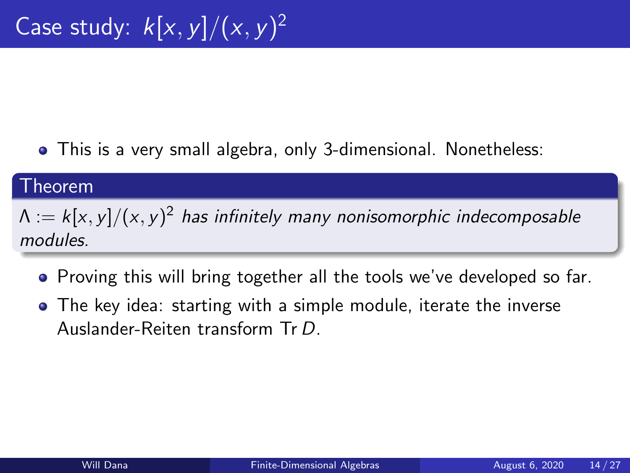This is a very small algebra, only 3-dimensional. Nonetheless:

#### Theorem

 $\Lambda:=k[x,y]/(x,y)^2$  has infinitely many nonisomorphic indecomposable modules.

- Proving this will bring together all the tools we've developed so far.
- The key idea: starting with a simple module, iterate the inverse Auslander-Reiten transform Tr D.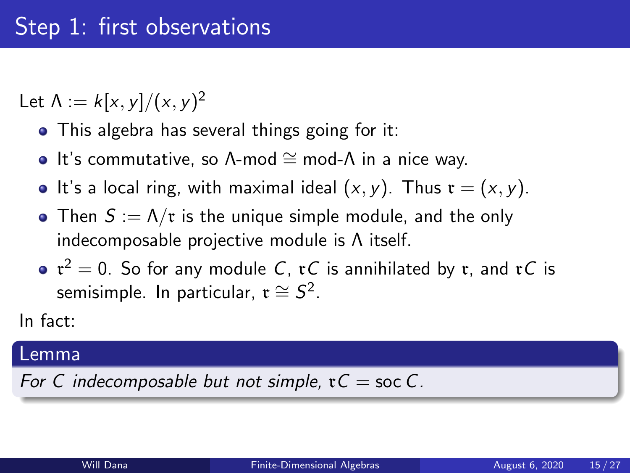Let  $\Lambda := k[x,y]/(x,y)^2$ 

- This algebra has several things going for it:
- It's commutative, so  $\Lambda$ -mod  $\cong$  mod- $\Lambda$  in a nice way.
- It's a local ring, with maximal ideal  $(x, y)$ . Thus  $\mathfrak{r} = (x, y)$ .
- Then  $S := \Lambda/\mathfrak{r}$  is the unique simple module, and the only indecomposable projective module is Λ itself.
- $\mathfrak{r}^2=0.$  So for any module  $C$ ,  $\mathfrak{r} C$  is annihilated by  $\mathfrak{r},$  and  $\mathfrak{r} C$  is semisimple. In particular,  $\mathfrak{r} \cong \mathcal{S}^2$ .

In fact:

#### Lemma

For C indecomposable but not simple,  $\mathfrak{r}C =$  soc C.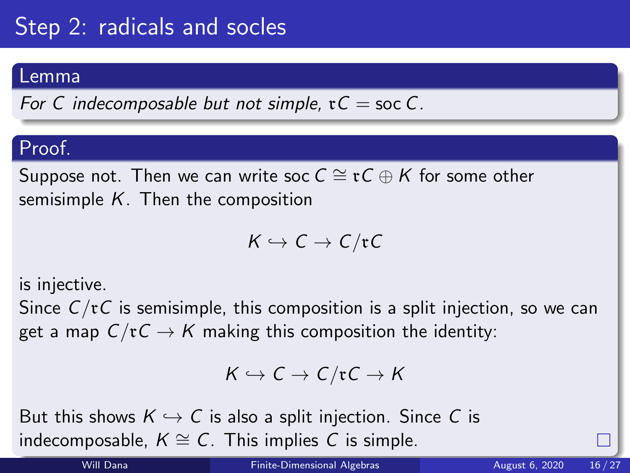# Step 2: radicals and socles

#### Lemma

For C indecomposable but not simple,  $\mathfrak{r}C =$  soc C.

## Proof.

Suppose not. Then we can write soc  $C \cong \mathfrak{r}C \oplus K$  for some other semisimple  $K$ . Then the composition

$$
K \hookrightarrow C \to C/\mathfrak{r} C
$$

is injective.

Since  $C/\mathfrak{r}C$  is semisimple, this composition is a split injection, so we can get a map  $C/\mathfrak{r} \mathcal{C} \to \mathcal{K}$  making this composition the identity:

$$
K \hookrightarrow C \to C/\mathfrak{r} C \to K
$$

But this shows  $K \hookrightarrow C$  is also a split injection. Since C is indecomposable,  $K \cong C$ . This implies C is simple.

Will Dana [Finite-Dimensional Algebras](#page-0-0) August 6, 2020 16/27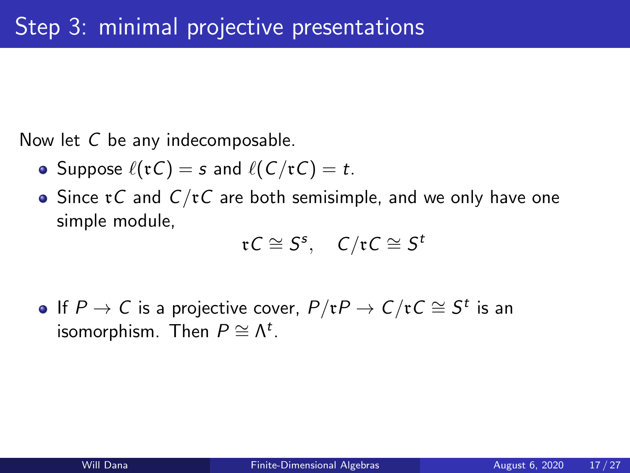Now let C be any indecomposable.

- Suppose  $\ell(\mathfrak{r}C) = s$  and  $\ell(C/\mathfrak{r}C) = t$ .
- Since  $\tau C$  and  $C/\tau C$  are both semisimple, and we only have one simple module,

$$
\mathfrak{r} \mathit{C} \cong \mathit{S}^{\mathit{s}}, \quad \mathit{C}/\mathfrak{r} \mathit{C} \cong \mathit{S}^{\mathit{t}}
$$

If  $P \to C$  is a projective cover,  $P/\mathfrak{r} P \to C/\mathfrak{r} C \cong S^t$  is an isomorphism. Then  $P \cong \Lambda^t$ .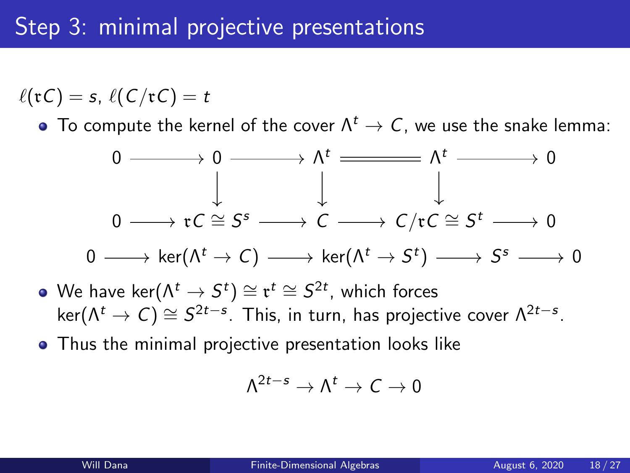$\ell(\mathfrak{r}C) = s$ ,  $\ell(C/\mathfrak{r}C) = t$ 

• To compute the kernel of the cover  $\Lambda^t \to C$ , we use the snake lemma:



- We have ker $(\Lambda^t \rightarrow S^t) \cong \mathfrak{r}^t \cong S^{2t}$ , which forces ker $(\Lambda^t \to C) \cong S^{2t-s}$ . This, in turn, has projective cover  $\Lambda^{2t-s}$ .
- **•** Thus the minimal projective presentation looks like

$$
\Lambda^{2t-s}\to\Lambda^t\to\mathit{C}\to0
$$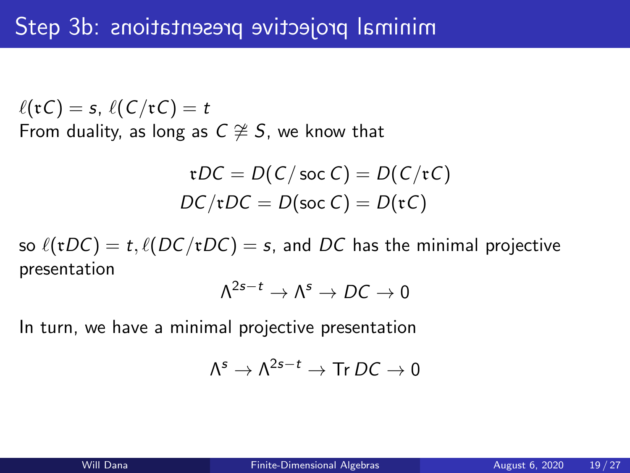$\ell(\mathfrak{r}C) = s, \ell(C/\mathfrak{r}C) = t$ From duality, as long as  $C \not\cong S$ , we know that

$$
\mathfrak{r}DC = D(C/\operatorname{soc} C) = D(C/\mathfrak{r}C)
$$

$$
DC/\mathfrak{r}DC = D(\operatorname{soc} C) = D(\mathfrak{r}C)
$$

so  $\ell(\tau DC) = t$ ,  $\ell(DC/\tau DC) = s$ , and DC has the minimal projective presentation

$$
\Lambda^{2s-t}\to\Lambda^s\to DC\to 0
$$

In turn, we have a minimal projective presentation

$$
\Lambda^s\to \Lambda^{2s-t}\to \text{Tr}\, D C\to 0
$$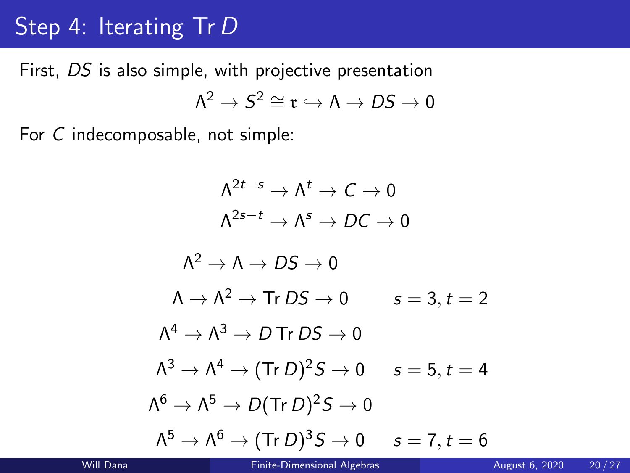# Step 4: Iterating Tr D

First, DS is also simple, with projective presentation  $\Lambda^2\to S^2\cong \mathfrak r\hookrightarrow \Lambda\to DS\to 0$ 

For C indecomposable, not simple:

$$
\Lambda^{2t-s} \to \Lambda^t \to C \to 0
$$
  
\n
$$
\Lambda^{2s-t} \to \Lambda^s \to DC \to 0
$$
  
\n
$$
\Lambda^2 \to \Lambda \to DS \to 0
$$
  
\n
$$
\Lambda \to \Lambda^2 \to \text{Tr } DS \to 0 \qquad s = 3, t = 2
$$
  
\n
$$
\Lambda^4 \to \Lambda^3 \to D \text{ Tr } DS \to 0
$$
  
\n
$$
\Lambda^3 \to \Lambda^4 \to (\text{Tr } D)^2 S \to 0 \qquad s = 5, t = 4
$$
  
\n
$$
\Lambda^6 \to \Lambda^5 \to D (\text{Tr } D)^2 S \to 0
$$
  
\n
$$
\Lambda^5 \to \Lambda^6 \to (\text{Tr } D)^3 S \to 0 \qquad s = 7, t = 6
$$

.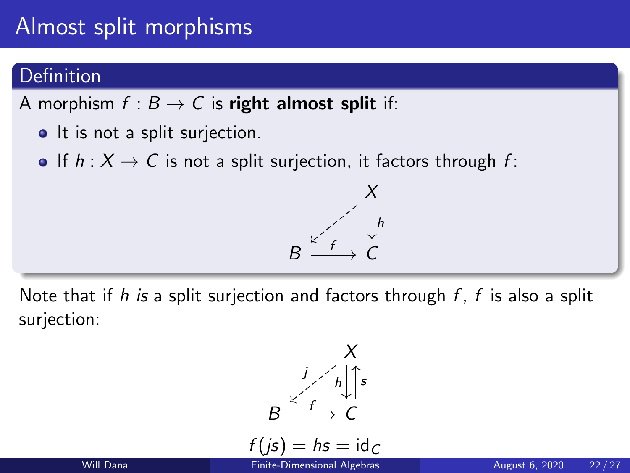# <span id="page-17-0"></span>Almost split morphisms

### Definition

A morphism  $f : B \to C$  is right almost split if:

- It is not a split surjection.
- If  $h: X \to C$  is not a split surjection, it factors through f:



Note that if h is a split surjection and factors through  $f$ ,  $f$  is also a split surjection:



$$
f(j\mathsf{s}) = \mathsf{h}\mathsf{s} = \mathsf{id}_C
$$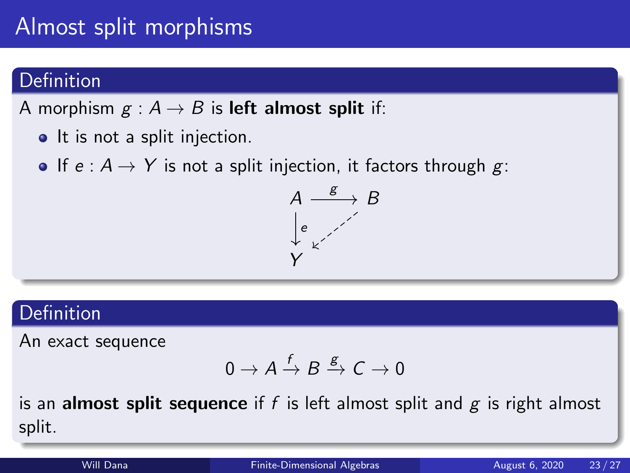# Almost split morphisms

## Definition

A morphism  $g : A \rightarrow B$  is **left almost split** if:

- It is not a split injection.
- If  $e : A \rightarrow Y$  is not a split injection, it factors through g:



### **Definition**

An exact sequence

$$
0 \to A \xrightarrow{f} B \xrightarrow{g} C \to 0
$$

is an **almost split sequence** if f is left almost split and  $g$  is right almost split.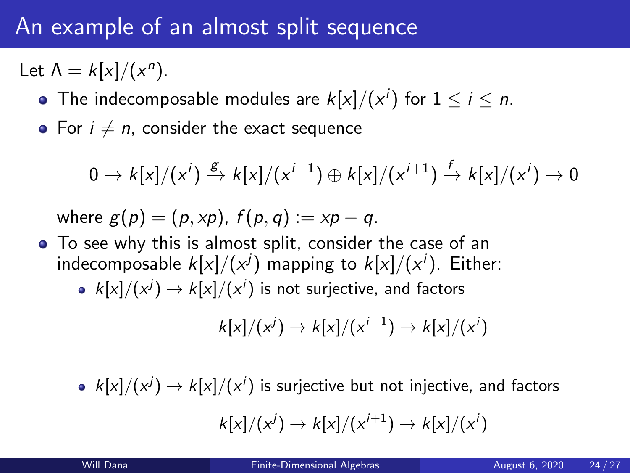# An example of an almost split sequence

Let  $\Lambda = k[x]/(x^n)$ .

- The indecomposable modules are  $k[x]/(x^i)$  for  $1\leq i\leq n.$
- For  $i \neq n$ , consider the exact sequence

$$
0 \to k[x]/(x^i) \xrightarrow{g} k[x]/(x^{i-1}) \oplus k[x]/(x^{i+1}) \xrightarrow{f} k[x]/(x^i) \to 0
$$

where  $g(p) = (\overline{p}, xp)$ ,  $f(p, q) := xp - \overline{q}$ .

- To see why this is almost split, consider the case of an indecomposable  $k[x]/(x^j)$  mapping to  $k[x]/(x^i).$  Either:
	- $\left. k[x]/(x^{j}) \rightarrow k[x]/(x^{i})$  is not surjective, and factors

$$
k[x]/(x^j) \rightarrow k[x]/(x^{i-1}) \rightarrow k[x]/(x^i)
$$

 $k[x]/(x^{j}) \rightarrow k[x]/(x^{i})$  is surjective but not injective, and factors

$$
k[x]/(x^j) \rightarrow k[x]/(x^{i+1}) \rightarrow k[x]/(x^i)
$$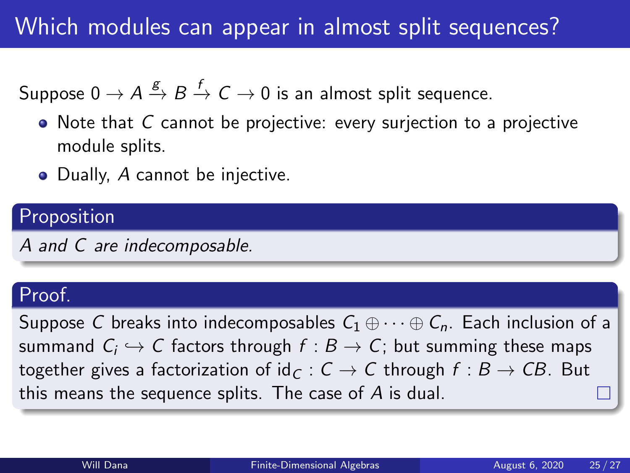# Which modules can appear in almost split sequences?

Suppose  $0 \to A \stackrel{g}{\to} B \stackrel{f}{\to} C \to 0$  is an almost split sequence.

- Note that C cannot be projective: every surjection to a projective module splits.
- Dually, A cannot be injective.

### Proposition

A and C are indecomposable.

### Proof.

Suppose C breaks into indecomposables  $C_1 \oplus \cdots \oplus C_n$ . Each inclusion of a summand  $\mathcal{C}_i \hookrightarrow \mathcal{C}$  factors through  $f : B \to \mathcal{C}$ ; but summing these maps together gives a factorization of  $id_C : C \rightarrow C$  through  $f : B \rightarrow CB$ . But this means the sequence splits. The case of A is dual.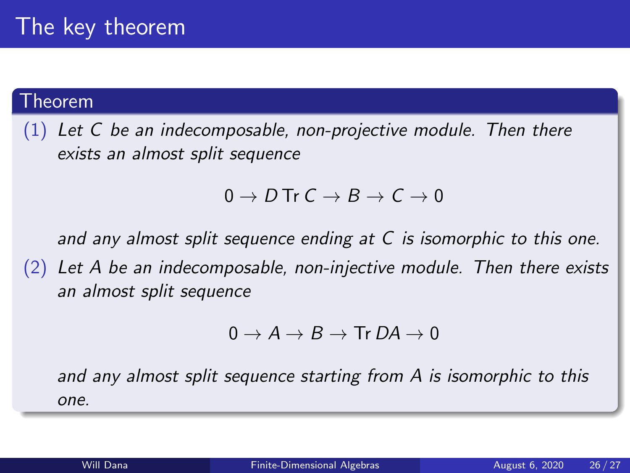#### Theorem

 $(1)$  Let C be an indecomposable, non-projective module. Then there exists an almost split sequence

### $0 \to D$  Tr  $C \to B \to C \to 0$

and any almost split sequence ending at C is isomorphic to this one.

 $(2)$  Let A be an indecomposable, non-injective module. Then there exists an almost split sequence

$$
0 \to A \to B \to \text{Tr } D A \to 0
$$

and any almost split sequence starting from A is isomorphic to this one.